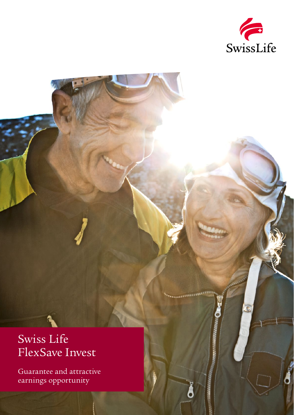

### Swiss Life FlexSave Invest

Guarantee and attractive earnings opportunity

ā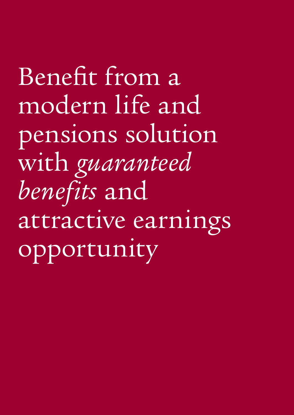Benefit from a modern life and pensions solution with *guaranteed benefits* and attractive earnings opportunity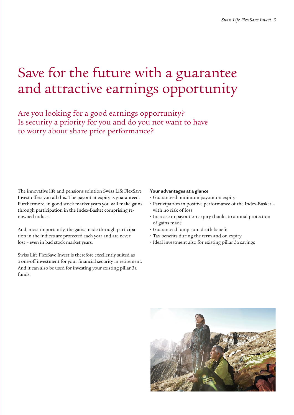## Save for the future with a guarantee and attractive earnings opportunity

Are you looking for a good earnings opportunity? Is security a priority for you and do you not want to have to worry about share price performance?

The innovative life and pensions solution Swiss Life FlexSave Invest offers you all this. The payout at expiry is guaranteed. Furthermore, in good stock market years you will make gains through participation in the Index-Basket comprising renowned indices.

And, most importantly, the gains made through participation in the indices are protected each year and are never lost – even in bad stock market years.

Swiss Life FlexSave Invest is therefore excellently suited as a one-off investment for your financial security in retirement. And it can also be used for investing your existing pillar 3a funds.

#### **Your advantages at a glance**

- **ɬ** Guaranteed minimum payout on expiry
- **ɬ** Participation in positive performance of the Index-Basket with no risk of loss
- **ɬ** Increase in payout on expiry thanks to annual protection of gains made
- **ɬ** Guaranteed lump sum death benefit
- **ɬ** Tax benefits during the term and on expiry
- **ɬ** Ideal investment also for existing pillar 3a savings

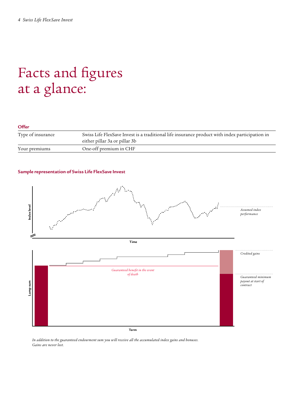# Facts and figures at a glance:

#### **Offer**

| Type of insurance | Swiss Life FlexSave Invest is a traditional life insurance product with index participation in<br>either pillar 3a or pillar 3b |
|-------------------|---------------------------------------------------------------------------------------------------------------------------------|
| Your premiums     | One-off premium in CHF                                                                                                          |

#### **Sample representation of Swiss Life FlexSave Invest**



*In addition to the guaranteed endowment sum you will receive all the accumulated index gains and bonuses. Gains are never lost.*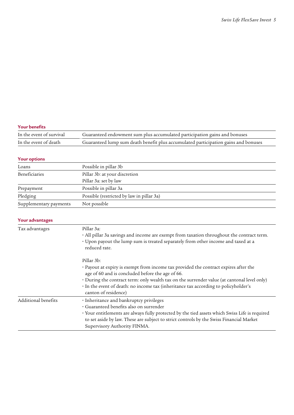#### **Your benefits**

| In the event of survival | Guaranteed endowment sum plus accumulated participation gains and bonuses          |  |
|--------------------------|------------------------------------------------------------------------------------|--|
| In the event of death    | Guaranteed lump sum death benefit plus accumulated participation gains and bonuses |  |
|                          |                                                                                    |  |

#### **Your options**

| Loans                  | Possible in pillar 3b                     |
|------------------------|-------------------------------------------|
| Beneficiaries          | Pillar 3b: at your discretion             |
|                        | Pillar 3a: set by law                     |
| Prepayment             | Possible in pillar 3a                     |
| Pledging               | Possible (restricted by law in pillar 3a) |
| Supplementary payments | Not possible                              |

#### **Your advantages**

| Tax advantages      | Pillar 3a:<br>· All pillar 3a savings and income are exempt from taxation throughout the contract term.<br>· Upon payout the lump sum is treated separately from other income and taxed at a<br>reduced rate.                                                                   |
|---------------------|---------------------------------------------------------------------------------------------------------------------------------------------------------------------------------------------------------------------------------------------------------------------------------|
|                     | Pillar 3b:                                                                                                                                                                                                                                                                      |
|                     | · Payout at expiry is exempt from income tax provided the contract expires after the<br>age of 60 and is concluded before the age of 66.                                                                                                                                        |
|                     | · During the contract term: only wealth tax on the surrender value (at cantonal level only)<br>· In the event of death: no income tax (inheritance tax according to policyholder's<br>canton of residence)                                                                      |
| Additional benefits | · Inheritance and bankruptcy privileges<br>· Guaranteed benefits also on surrender<br>· Your entitlements are always fully protected by the tied assets which Swiss Life is required<br>to set aside by law. These are subject to strict controls by the Swiss Financial Market |
|                     | Supervisory Authority FINMA.                                                                                                                                                                                                                                                    |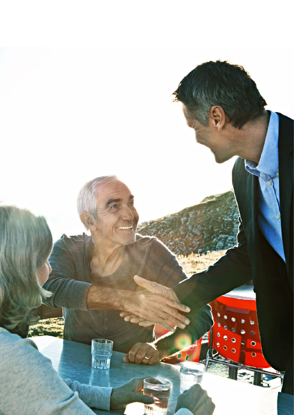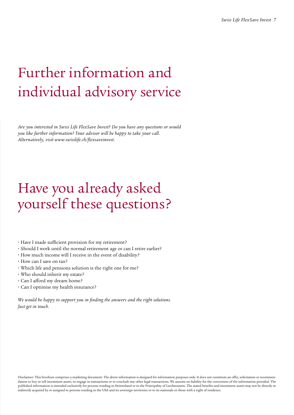# Further information and individual advisory service

*Are you interested in Swiss Life FlexSave Invest? Do you have any questions or would you like further information? Your advisor will be happy to take your call. Alternatively, visit www.swisslife.ch/flexsaveinvest.*

# Have you already asked yourself these questions?

**ɬ** Have I made sufficient provision for my retirement?

- **ɬ** Should I work until the normal retirement age or can I retire earlier?
- **ɬ** How much income will I receive in the event of disability?
- **ɬ** How can I save on tax?
- **ɬ** Which life and pensions solution is the right one for me?
- **ɬ** Who should inherit my estate?
- **ɬ** Can I afford my dream home?
- **ɬ** Can I optimise my health insurance?

*We would be happy to support you in finding the answers and the right solutions. Just get in touch.*